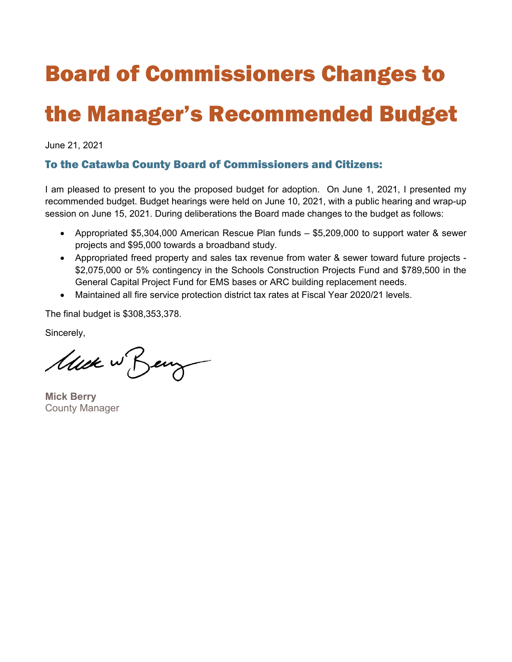#### Board of Commissioners Changes to

#### the Manager's Recommended Budget

June 21, 2021

#### To the Catawba County Board of Commissioners and Citizens:

I am pleased to present to you the proposed budget for adoption. On June 1, 2021, I presented my recommended budget. Budget hearings were held on June 10, 2021, with a public hearing and wrap-up session on June 15, 2021. During deliberations the Board made changes to the budget as follows:

- Appropriated \$5,304,000 American Rescue Plan funds \$5,209,000 to support water & sewer projects and \$95,000 towards a broadband study.
- Appropriated freed property and sales tax revenue from water & sewer toward future projects \$2,075,000 or 5% contingency in the Schools Construction Projects Fund and \$789,500 in the General Capital Project Fund for EMS bases or ARC building replacement needs.
- Maintained all fire service protection district tax rates at Fiscal Year 2020/21 levels.

The final budget is \$308,353,378.

Sincerely,

Muck w Beng

**Mick Berry**  County Manager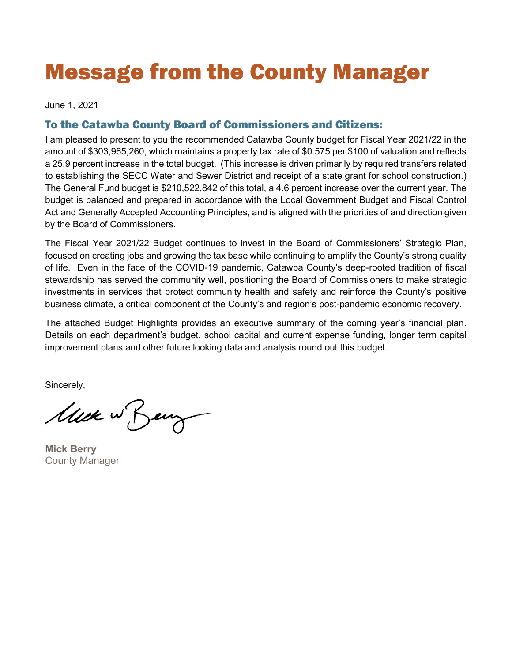### Message from the County Manager

June 1, 2021

#### To the Catawba County Board of Commissioners and Citizens:

I am pleased to present to you the recommended Catawba County budget for Fiscal Year 2021/22 in the amount of \$303,965,260, which maintains a property tax rate of \$0.575 per \$100 of valuation and reflects a 25.9 percent increase in the total budget. (This increase is driven primarily by required transfers related to establishing the SECC Water and Sewer District and receipt of a state grant for school construction.) The General Fund budget is \$210,522,842 of this total, a 4.6 percent increase over the current year. The budget is balanced and prepared in accordance with the Local Government Budget and Fiscal Control Act and Generally Accepted Accounting Principles, and is aligned with the priorities of and direction given by the Board of Commissioners.

The Fiscal Year 2021/22 Budget continues to invest in the Board of Commissioners' Strategic Plan, focused on creating jobs and growing the tax base while continuing to amplify the County's strong quality of life. Even in the face of the COVID-19 pandemic, Catawba County's deep-rooted tradition of fiscal stewardship has served the community well, positioning the Board of Commissioners to make strategic investments in services that protect community health and safety and reinforce the County's positive business climate, a critical component of the County's and region's post-pandemic economic recovery.

The attached Budget Highlights provides an executive summary of the coming year's financial plan. Details on each department's budget, school capital and current expense funding, longer term capital improvement plans and other future looking data and analysis round out this budget.

Sincerely,

Muck w Beng

**Mick Berry** County Manager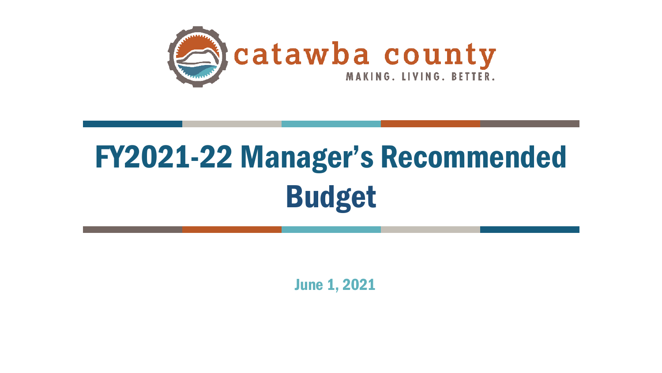

# FY2021-22 Manager's Recommended Budget

June 1, 2021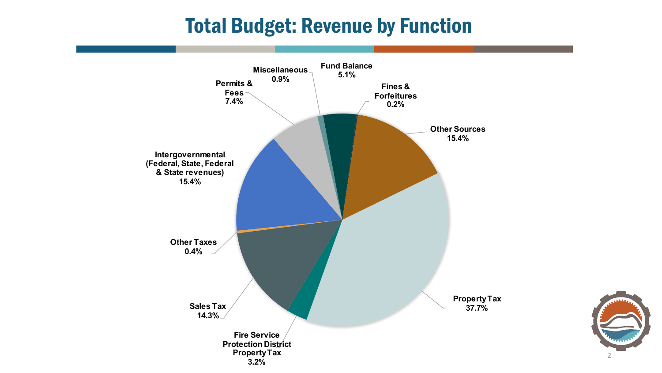### Total Budget: Revenue by Function



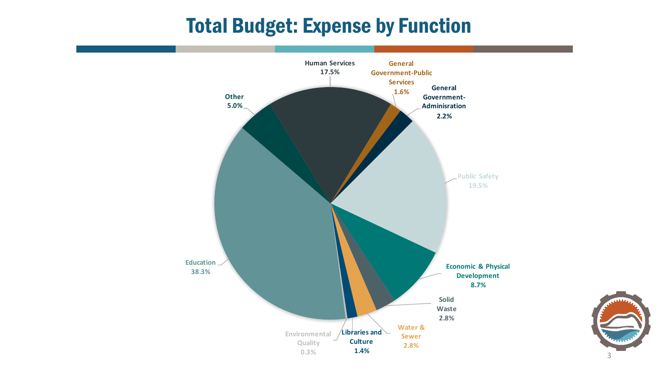### Total Budget: Expense by Function



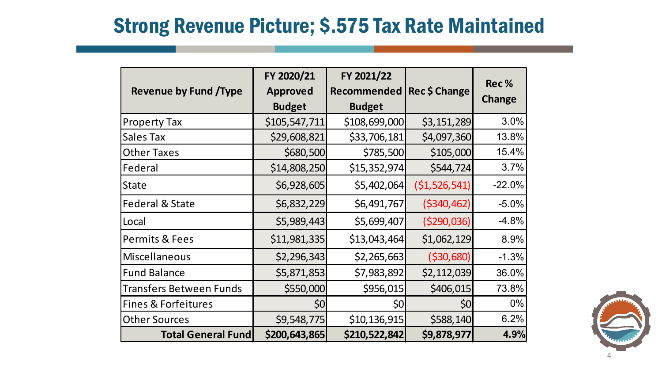### Strong Revenue Picture; \$.575 Tax Rate Maintained

| <b>Revenue by Fund /Type</b>   | FY 2020/21<br><b>Approved</b><br><b>Budget</b> | FY 2021/22<br>Recommended<br><b>Budget</b> | Rec \$ Change   | Rec%<br><b>Change</b> |
|--------------------------------|------------------------------------------------|--------------------------------------------|-----------------|-----------------------|
| <b>Property Tax</b>            | \$105,547,711                                  | \$108,699,000                              | \$3,151,289     | 3.0%                  |
| <b>Sales Tax</b>               | \$29,608,821                                   | \$33,706,181                               | \$4,097,360     | 13.8%                 |
| <b>Other Taxes</b>             | \$680,500                                      | \$785,500                                  | \$105,000       | 15.4%                 |
| Federal                        | \$14,808,250                                   | \$15,352,974                               | \$544,724       | 3.7%                  |
| <b>State</b>                   | \$6,928,605                                    | \$5,402,064                                | ( \$1,526,541)  | $-22.0%$              |
| <b>Federal &amp; State</b>     | \$6,832,229                                    | \$6,491,767                                | ( \$340, 462)   | $-5.0%$               |
| Local                          | \$5,989,443                                    | \$5,699,407                                | ( \$290,036)    | $-4.8%$               |
| <b>Permits &amp; Fees</b>      | \$11,981,335                                   | \$13,043,464                               | \$1,062,129     | 8.9%                  |
| <b>Miscellaneous</b>           | \$2,296,343                                    | \$2,265,663                                | ( \$30,680)     | $-1.3%$               |
| <b>Fund Balance</b>            | \$5,871,853                                    | \$7,983,892                                | \$2,112,039     | 36.0%                 |
| <b>Transfers Between Funds</b> | \$550,000                                      | \$956,015                                  | \$406,015       | 73.8%                 |
| <b>Fines &amp; Forfeitures</b> | \$0                                            | \$0                                        | 50 <sub>l</sub> | 0%                    |
| <b>Other Sources</b>           | \$9,548,775                                    | \$10, 136, 915                             | \$588,140       | 6.2%                  |
| <b>Total General Fund</b>      | \$200,643,865                                  | \$210,522,842                              | \$9,878,977     | 4.9%                  |

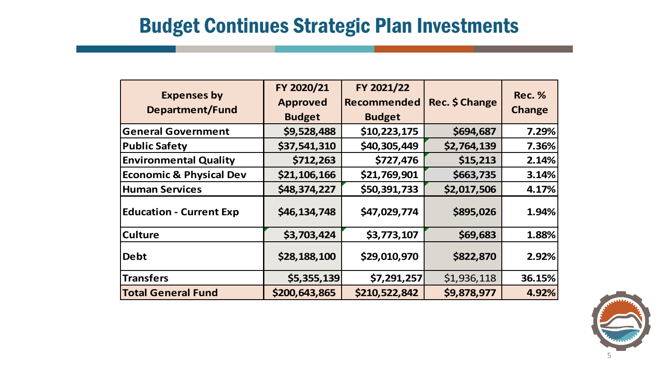#### Budget Continues Strategic Plan Investments

| <b>Expenses by</b><br><b>Department/Fund</b> | FY 2020/21<br><b>Approved</b><br><b>Budget</b> | FY 2021/22<br><b>Recommended</b><br><b>Budget</b> | Rec. \$ Change | <b>Rec. %</b><br><b>Change</b> |
|----------------------------------------------|------------------------------------------------|---------------------------------------------------|----------------|--------------------------------|
| <b>General Government</b>                    | \$9,528,488                                    | \$10,223,175                                      | \$694,687      | 7.29%                          |
| <b>Public Safety</b>                         | \$37,541,310                                   | \$40,305,449                                      | \$2,764,139    | 7.36%                          |
| <b>Environmental Quality</b>                 | \$712,263                                      | \$727,476                                         | \$15,213       | 2.14%                          |
| <b>Economic &amp; Physical Dev</b>           | \$21,106,166                                   | \$21,769,901                                      | \$663,735      | 3.14%                          |
| <b>Human Services</b>                        | \$48,374,227                                   | \$50,391,733                                      | \$2,017,506    | 4.17%                          |
| <b>Education - Current Exp</b>               | \$46,134,748                                   | \$47,029,774                                      | \$895,026      | 1.94%                          |
| <b>Culture</b>                               | \$3,703,424                                    | \$3,773,107                                       | \$69,683       | 1.88%                          |
| Debt                                         | \$28,188,100                                   | \$29,010,970                                      | \$822,870      | 2.92%                          |
| <b>Transfers</b>                             | \$5,355,139                                    | \$7,291,257                                       | \$1,936,118    | 36.15%                         |
| <b>Total General Fund</b>                    | \$200,643,865                                  | \$210,522,842                                     | \$9,878,977    | 4.92%                          |

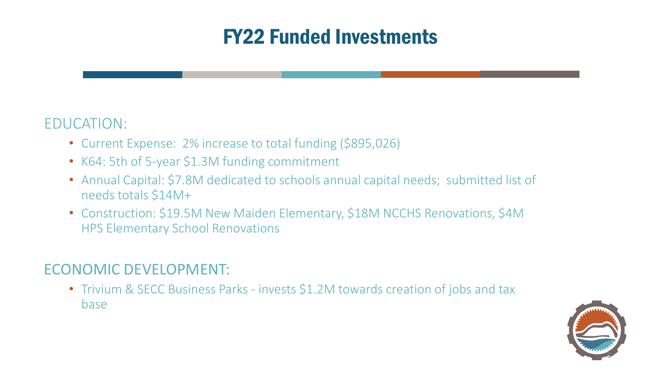#### EDUCATION:

- Current Expense: 2% increase to total funding (\$895,026)
- K64: 5th of 5-year \$1.3M funding commitment
- Annual Capital: \$7.8M dedicated to schools annual capital needs; submitted list of needs totals \$14M+
- Construction: \$19.5M New Maiden Elementary, \$18M NCCHS Renovations, \$4M HPS Elementary School Renovations

#### ECONOMIC DEVELOPMENT:

• Trivium & SECC Business Parks - invests \$1.2M towards creation of jobs and tax base

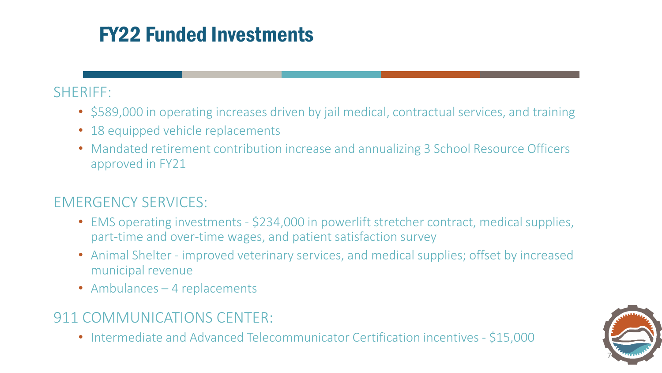#### SHERIFF:

- \$589,000 in operating increases driven by jail medical, contractual services, and training
- 18 equipped vehicle replacements
- Mandated retirement contribution increase and annualizing 3 School Resource Officers approved in FY21

#### EMERGENCY SERVICES:

- EMS operating investments \$234,000 in powerlift stretcher contract, medical supplies, part-time and over-time wages, and patient satisfaction survey
- Animal Shelter improved veterinary services, and medical supplies; offset by increased municipal revenue
- Ambulances 4 replacements

#### 911 COMMUNICATIONS CENTER:

• Intermediate and Advanced Telecommunicator Certification incentives - \$15,000

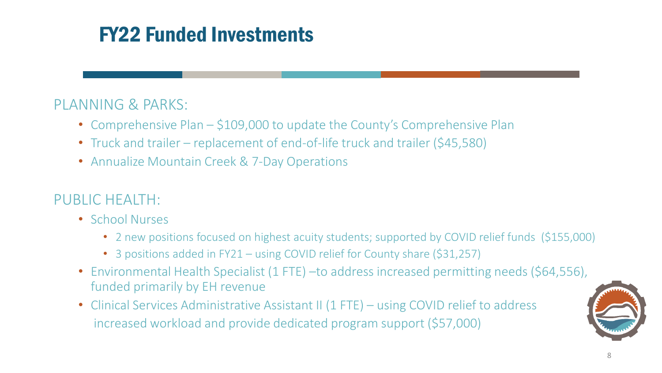#### PLANNING & PARKS:

- Comprehensive Plan \$109,000 to update the County's Comprehensive Plan
- Truck and trailer replacement of end-of-life truck and trailer (\$45,580)
- Annualize Mountain Creek & 7-Day Operations

#### PUBLIC HEALTH:

- School Nurses
	- 2 new positions focused on highest acuity students; supported by COVID relief funds (\$155,000)
	- 3 positions added in FY21 using COVID relief for County share (\$31,257)
- Environmental Health Specialist (1 FTE) to address increased permitting needs (\$64,556), funded primarily by EH revenue
- Clinical Services Administrative Assistant II (1 FTE) using COVID relief to address increased workload and provide dedicated program support (\$57,000)

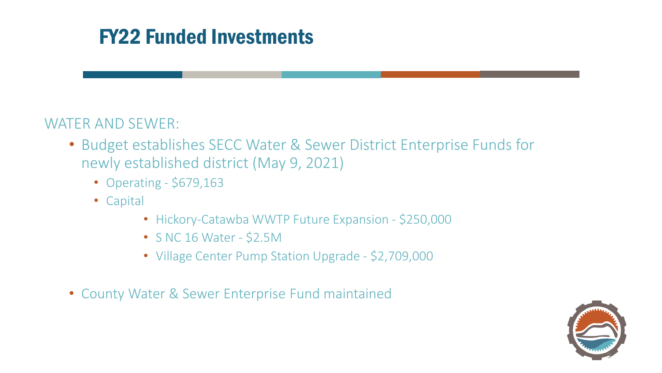#### WATER AND SEWER:

- Budget establishes SECC Water & Sewer District Enterprise Funds for newly established district (May 9, 2021)
	- Operating \$679,163
	- Capital
		- Hickory-Catawba WWTP Future Expansion \$250,000
		- S NC 16 Water \$2.5M
		- Village Center Pump Station Upgrade \$2,709,000
- County Water & Sewer Enterprise Fund maintained

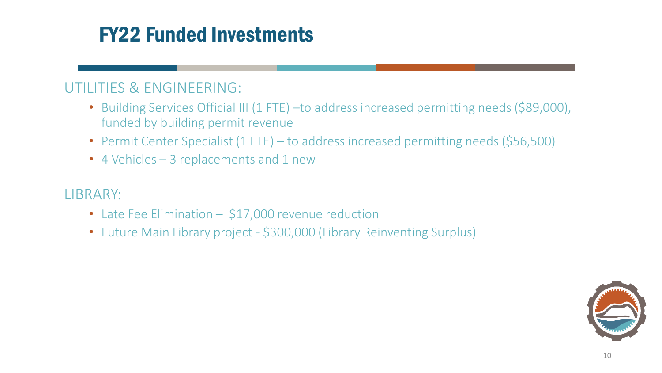#### UTILITIES & ENGINEERING:

- Building Services Official III (1 FTE) –to address increased permitting needs (\$89,000), funded by building permit revenue
- Permit Center Specialist (1 FTE) to address increased permitting needs (\$56,500)
- 4 Vehicles 3 replacements and 1 new

LIBRARY:

- Late Fee Elimination \$17,000 revenue reduction
- Future Main Library project \$300,000 (Library Reinventing Surplus)

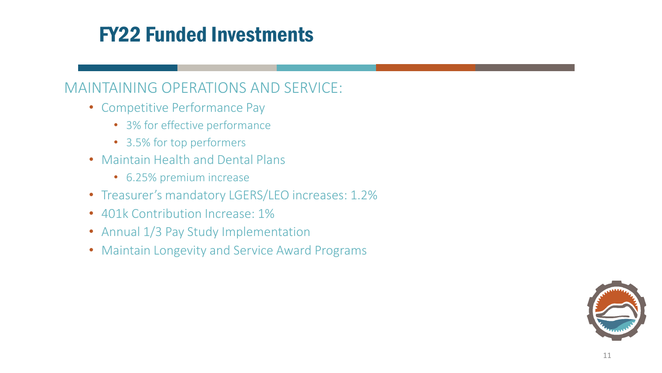#### MAINTAINING OPERATIONS AND SERVICE:

- Competitive Performance Pay
	- 3% for effective performance
	- 3.5% for top performers
- Maintain Health and Dental Plans
	- 6.25% premium increase
- Treasurer's mandatory LGERS/LEO increases: 1.2%
- 401k Contribution Increase: 1%
- Annual 1/3 Pay Study Implementation
- Maintain Longevity and Service Award Programs

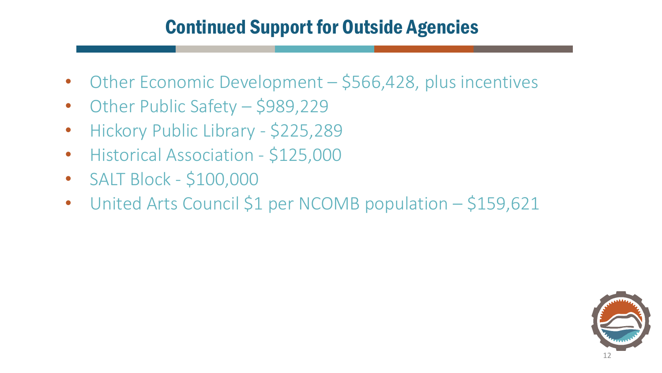#### Continued Support for Outside Agencies

- Other Economic Development \$566,428, plus incentives
- Other Public Safety \$989,229
- Hickory Public Library \$225,289
- Historical Association \$125,000
- SALT Block \$100,000
- United Arts Council \$1 per NCOMB population \$159,621

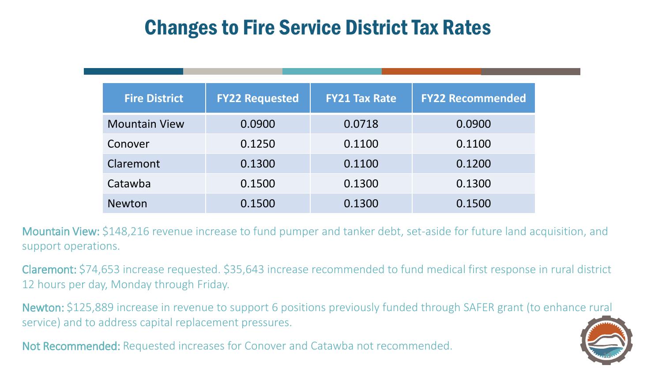### Changes to Fire Service District Tax Rates

| <b>Fire District</b> | <b>FY22 Requested</b> | <b>FY21 Tax Rate</b> | <b>FY22 Recommended</b> |
|----------------------|-----------------------|----------------------|-------------------------|
| <b>Mountain View</b> | 0.0900                | 0.0718               | 0.0900                  |
| Conover              | 0.1250                | 0.1100               | 0.1100                  |
| Claremont            | 0.1300                | 0.1100               | 0.1200                  |
| Catawba              | 0.1500                | 0.1300               | 0.1300                  |
| <b>Newton</b>        | 0.1500                | 0.1300               | 0.1500                  |

Mountain View: \$148,216 revenue increase to fund pumper and tanker debt, set-aside for future land acquisition, and support operations.

Claremont: \$74,653 increase requested. \$35,643 increase recommended to fund medical first response in rural district 12 hours per day, Monday through Friday.

Newton: \$125,889 increase in revenue to support 6 positions previously funded through SAFER grant (to enhance rural service) and to address capital replacement pressures.

Not Recommended: Requested increases for Conover and Catawba not recommended.

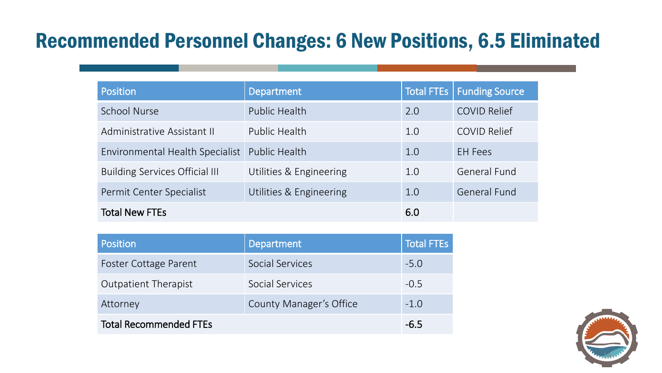## Recommended Personnel Changes: 6 New Positions, 6.5 Eliminated

| Position                               | <b>Department</b>       |     | Total FTEs   Funding Source |
|----------------------------------------|-------------------------|-----|-----------------------------|
| <b>School Nurse</b>                    | Public Health           | 2.0 | <b>COVID Relief</b>         |
| Administrative Assistant II            | Public Health           | 1.0 | <b>COVID Relief</b>         |
| <b>Environmental Health Specialist</b> | Public Health           | 1.0 | <b>EH</b> Fees              |
| <b>Building Services Official III</b>  | Utilities & Engineering | 1.0 | <b>General Fund</b>         |
| Permit Center Specialist               | Utilities & Engineering | 1.0 | General Fund                |
| <b>Total New FTEs</b>                  |                         | 6.0 |                             |

| <b>Position</b>               | Department              | <b>Total FTEs</b> |
|-------------------------------|-------------------------|-------------------|
| Foster Cottage Parent         | Social Services         | $-5.0$            |
| <b>Outpatient Therapist</b>   | Social Services         | $-0.5$            |
| Attorney                      | County Manager's Office | $-1.0$            |
| <b>Total Recommended FTEs</b> |                         | -6.5              |

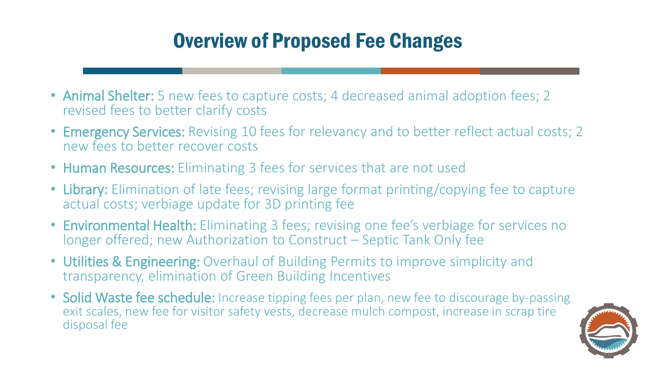# Overview of Proposed Fee Changes

- Animal Shelter: 5 new fees to capture costs; 4 decreased animal adoption fees; 2 revised fees to better clarify costs
- Emergency Services: Revising 10 fees for relevancy and to better reflect actual costs; 2 new fees to better recover costs
- Human Resources: Eliminating 3 fees for services that are not used
- Library: Elimination of late fees; revising large format printing/copying fee to capture actual costs; verbiage update for 3D printing fee
- Environmental Health: Eliminating 3 fees; revising one fee's verbiage for services no longer offered; new Authorization to Construct – Septic Tank Only fee
- Utilities & Engineering: Overhaul of Building Permits to improve simplicity and transparency, elimination of Green Building Incentives
- Solid Waste fee schedule: Increase tipping fees per plan, new fee to discourage by-passing exit scales, new fee for visitor safety vests, decrease mulch compost, increase in scrap tire disposal fee

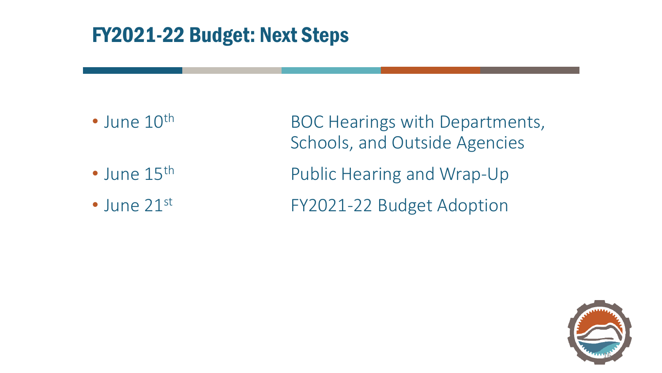### FY2021-22 Budget: Next Steps

- 
- 
- 

• June 10<sup>th</sup> BOC Hearings with Departments, Schools, and Outside Agencies • June 15<sup>th</sup> Public Hearing and Wrap-Up • June 21st FY2021-22 Budget Adoption